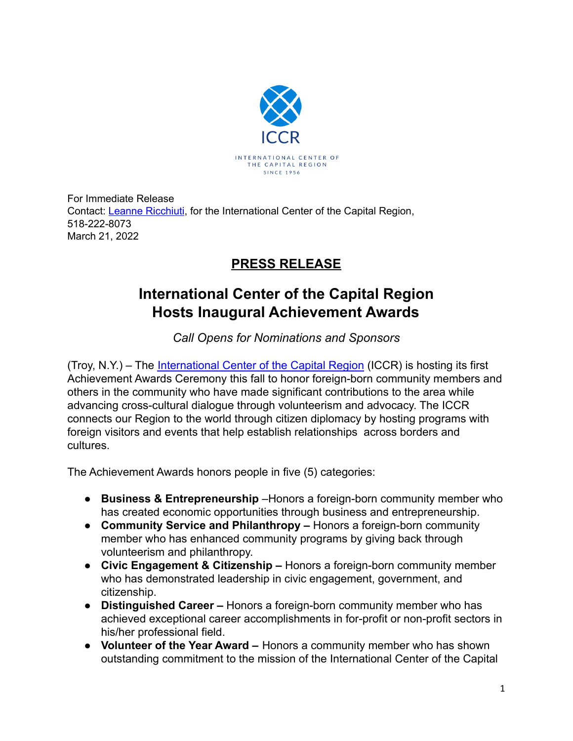

For Immediate Release Contact: Leanne [Ricchiuti](mailto:leanne.ricchiuti@gmail.com), for the International Center of the Capital Region, 518-222-8073 March 21, 2022

## **PRESS RELEASE**

## **International Center of the Capital Region Hosts Inaugural Achievement Awards**

*Call Opens for Nominations and Sponsors*

(Troy, N.Y.) – The [International Center of the Capital](https://iccralbany.org/) Region (ICCR) is hosting its first Achievement Awards Ceremony this fall to honor foreign-born community members and others in the community who have made significant contributions to the area while advancing cross-cultural dialogue through volunteerism and advocacy. The ICCR connects our Region to the world through citizen diplomacy by hosting programs with foreign visitors and events that help establish relationships across borders and cultures.

The Achievement Awards honors people in five (5) categories:

- **● Business & Entrepreneurship** –Honors a foreign-born community member who has created economic opportunities through business and entrepreneurship.
- **● Community Service and Philanthropy –** Honors a foreign-born community member who has enhanced community programs by giving back through volunteerism and philanthropy.
- **● Civic Engagement & Citizenship –** Honors a foreign-born community member who has demonstrated leadership in civic engagement, government, and citizenship.
- **Distinguished Career –** Honors a foreign-born community member who has achieved exceptional career accomplishments in for-profit or non-profit sectors in his/her professional field.
- **● Volunteer of the Year Award –** Honors a community member who has shown outstanding commitment to the mission of the International Center of the Capital